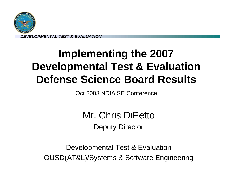

# **Implementing the 2007 Developmental Test & Evaluation Defense Science Board Results**

Oct 2008 NDIA SE Conference

Mr. Chris DiPetto Deputy Director

Developmental Test & Evaluation OUSD(AT&L)/Systems & Software Engineering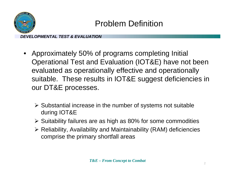

# Problem Definition

- • Approximately 50% of programs completing Initial Operational Test and Evaluation (IOT&E) have not been evaluated as operationally effective and operationally suitable. These results in IOT&E suggest deficiencies in our DT&E processes.
	- $\triangleright$  Substantial increase in the number of systems not suitable during IOT&E
	- ¾ Suitability failures are as high as 80% for some commodities
	- ¾ Reliability, Availability and Maintainability (RAM) deficiencies comprise the primary shortfall areas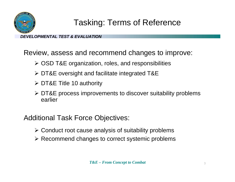

# Tasking: Terms of Reference

*DEVELOPMENTAL TEST & EVALUATION*

Review, assess and recommend changes to improve:

- ¾ OSD T&E organization, roles, and responsibilities
- ¾ DT&E oversight and facilitate integrated T&E
- ¾ DT&E Title 10 authority
- ¾ DT&E process improvements to discover suitability problems earlier

Additional Task Force Objectives:

- $\triangleright$  Conduct root cause analysis of suitability problems
- ¾ Recommend changes to correct systemic problems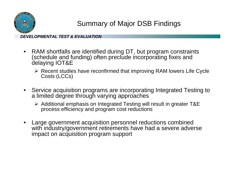

Summary of Major DSB Findings

- RAM shortfalls are identified during DT, but program constraints (schedule and funding) often preclude incorporating fixes and delaying IOT&E
	- ¾ Recent studies have reconfirmed that improving RAM lowers Life Cycle Costs (LCCs)
- Service acquisition programs are incorporating Integrated Testing to a limited degree through varying approaches
	- ¾ Additional emphasis on Integrated Testing will result in greater T&E process efficiency and program cost reductions
- • Large government acquisition personnel reductions combined with industry/government retirements have had a severe adverse impact on acquisition program support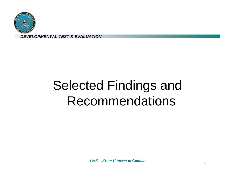

# Selected Findings and Recommendations

*T&E – From Concept to Combat*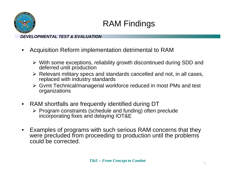

# RAM Findings

- • Acquisition Reform implementation detrimental to RAM
	- ¾ With some exceptions, reliability growth discontinued during SDD and deferred until production
	- ¾ Relevant military specs and standards cancelled and not, in all cases, replaced with industry standards
	- ¾ Gvmt Technical/managerial workforce reduced in most PMs and test organizations
- • RAM shortfalls are frequently identified during DT
	- ¾ Program constraints (schedule and funding) often preclude incorporating fixes and delaying IOT&E
- • Examples of programs with such serious RAM concerns that they were precluded from proceeding to production until the problems could be corrected.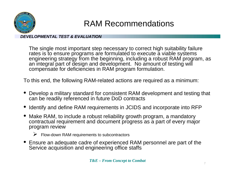

# RAM Recommendations

*DEVELOPMENTAL TEST & EVALUATION*

The single most important step necessary to correct high suitability failure rates is to ensure programs are formulated to execute a viable systems engineering strategy from the beginning, including a robust RAM program, as an integral part of design and development. No amount of testing will compensate for deficiencies in RAM program formulation.

To this end, the following RAM-related actions are required as a minimum:

- • Develop a military standard for consistent RAM development and testing that can be readily referenced in future DoD contracts
- •Identify and define RAM requirements in JCIDS and incorporate into RFP
- • Make RAM, to include a robust reliability growth program, a mandatory contractual requirement and document progress as a part of every major program review
	- $\triangleright$  Flow-down RAM requirements to subcontractors
- • Ensure an adequate cadre of experienced RAM personnel are part of the Service acquisition and engineering office staffs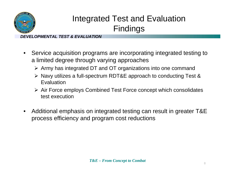

# Integrated Test and Evaluation Findings

- $\bullet$  Service acquisition programs are incorporating integrated testing to a limited degree through varying approaches
	- ¾ Army has integrated DT and OT organizations into one command
	- ¾ Navy utilizes a full-spectrum RDT&E approach to conducting Test & **Evaluation**
	- ¾ Air Force employs Combined Test Force concept which consolidates test execution
- $\bullet$  Additional emphasis on integrated testing can result in greater T&E process efficiency and program cost reductions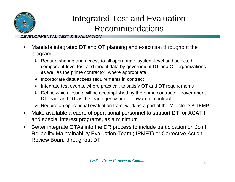

# Integrated Test and Evaluation Recommendations

- • Mandate integrated DT and OT planning and execution throughout the program
	- ¾ Require sharing and access to all appropriate system-level and selected component-level test and model data by government DT and OT organizations as well as the prime contractor, where appropriate
	- $\triangleright$  Incorporate data access requirements in contract
	- ¾ Integrate test events, where practical, to satisfy OT and DT requirements
	- $\triangleright$  Define which testing will be accomplished by the prime contractor, government DT lead, and OT as the lead agency prior to award of contract
	- $\triangleright$  Require an operational evaluation framework as a part of the Milestone B TEMP
- $\bullet$  Make available a cadre of operational personnel to support DT for ACAT I and special interest programs, as a minimum
- • Better integrate OTAs into the DR process to include participation on Joint Reliability Maintainability Evaluation Team (JRMET) or Corrective Action Review Board throughout DT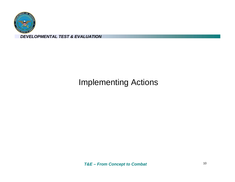

# Implementing Actions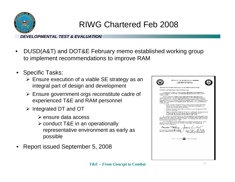

# RIWG Chartered Feb 2008

- • DUSD(A&T) and DOT&E February memo established working group to implement recommendations to improve RAM
- Specific Tasks:
	- $\triangleright$  Ensure execution of a viable SE strategy as an integral part of design and development
	- $\triangleright$  Ensure government orgs reconstitute cadre of experienced T&E and RAM personnel
	- ¾ Integrated DT and OT
		- ¾ ensure data access
		- ¾ conduct T&E in an operationally representative environment as early as possible
- •Report issued September 5, 2008

| 1000 DEFENSE PENTAGON<br>WASHINGTON, DC 20301-1000<br>MEMORANDUM FOR COMPONENT ACOUISITION EXECUTIVES<br>SUBJECT: Reliability Improvement Working Group<br>We ask you to support a working group to implement recommendations to<br>improve Reliability, Availability, and Maintainability (RAM) performance in DoD<br>weapon systems.<br>Recent Test and Evaluation (T&E) related reports have highlighted poor<br>operational suitability of weapon systems, primarily as a result of RAM deficiencies.<br>Also, a Defense Science Board (DSB) task force on Developmental T&E is currently<br>examining RAM issues as one part of their investigation. Now is the appropriate time to<br>change how we do business with regard to RAM. Specifically, we are establishing this<br>working group to:<br>· Ensure programs are formulated to execute a viable systems engineering<br>strategy from the beginning, including a RAM growth program, as an<br>integral part of design and development.<br>· Ensure government organizations reconstitute a cadre of experienced T&E<br>and RAM personnel.<br>· Implement mandated integrated DT and OT, including the sharing and access<br>to all appropriate contractor and government data and the use of<br>operationally representative environments in early testing.<br>It is essential to include both Service T&E and acquisition staff representatives in<br>the working group. Ideally, the representatives will be familiar with the DSB Task Force<br>and have access to RAM and contracting expertise. The working group shall provide an<br>implementation report by July 31, 2008.<br>Mr. Chris DiPetto and Dr. Ernest Seglie will co-lead the working group. Please<br>identify your representative(s) to Mr. DiPetto at Christopher DiPetto@osd.mil, or<br>(703) 695-4421 by February 21.<br>Charles 5 MC fuery<br>Dr. Charles E. McQuearyFBB @ 6 2008<br>FEB 15 2008<br>James I. Finley<br>Director, Operational Test & Evaluation<br>Deputy Under Secretary of Uefense<br>for Acquisition and Technology<br><b>THE REPORT OF STATISTICS INTERFERING</b><br><b>NON RECYCLED RAPER</b> |  |  |
|-------------------------------------------------------------------------------------------------------------------------------------------------------------------------------------------------------------------------------------------------------------------------------------------------------------------------------------------------------------------------------------------------------------------------------------------------------------------------------------------------------------------------------------------------------------------------------------------------------------------------------------------------------------------------------------------------------------------------------------------------------------------------------------------------------------------------------------------------------------------------------------------------------------------------------------------------------------------------------------------------------------------------------------------------------------------------------------------------------------------------------------------------------------------------------------------------------------------------------------------------------------------------------------------------------------------------------------------------------------------------------------------------------------------------------------------------------------------------------------------------------------------------------------------------------------------------------------------------------------------------------------------------------------------------------------------------------------------------------------------------------------------------------------------------------------------------------------------------------------------------------------------------------------------------------------------------------------------------------------------------------------------------------------------------------------------------------------------------------------------------------------------------------|--|--|
|                                                                                                                                                                                                                                                                                                                                                                                                                                                                                                                                                                                                                                                                                                                                                                                                                                                                                                                                                                                                                                                                                                                                                                                                                                                                                                                                                                                                                                                                                                                                                                                                                                                                                                                                                                                                                                                                                                                                                                                                                                                                                                                                                       |  |  |
|                                                                                                                                                                                                                                                                                                                                                                                                                                                                                                                                                                                                                                                                                                                                                                                                                                                                                                                                                                                                                                                                                                                                                                                                                                                                                                                                                                                                                                                                                                                                                                                                                                                                                                                                                                                                                                                                                                                                                                                                                                                                                                                                                       |  |  |
|                                                                                                                                                                                                                                                                                                                                                                                                                                                                                                                                                                                                                                                                                                                                                                                                                                                                                                                                                                                                                                                                                                                                                                                                                                                                                                                                                                                                                                                                                                                                                                                                                                                                                                                                                                                                                                                                                                                                                                                                                                                                                                                                                       |  |  |
|                                                                                                                                                                                                                                                                                                                                                                                                                                                                                                                                                                                                                                                                                                                                                                                                                                                                                                                                                                                                                                                                                                                                                                                                                                                                                                                                                                                                                                                                                                                                                                                                                                                                                                                                                                                                                                                                                                                                                                                                                                                                                                                                                       |  |  |
|                                                                                                                                                                                                                                                                                                                                                                                                                                                                                                                                                                                                                                                                                                                                                                                                                                                                                                                                                                                                                                                                                                                                                                                                                                                                                                                                                                                                                                                                                                                                                                                                                                                                                                                                                                                                                                                                                                                                                                                                                                                                                                                                                       |  |  |
|                                                                                                                                                                                                                                                                                                                                                                                                                                                                                                                                                                                                                                                                                                                                                                                                                                                                                                                                                                                                                                                                                                                                                                                                                                                                                                                                                                                                                                                                                                                                                                                                                                                                                                                                                                                                                                                                                                                                                                                                                                                                                                                                                       |  |  |
|                                                                                                                                                                                                                                                                                                                                                                                                                                                                                                                                                                                                                                                                                                                                                                                                                                                                                                                                                                                                                                                                                                                                                                                                                                                                                                                                                                                                                                                                                                                                                                                                                                                                                                                                                                                                                                                                                                                                                                                                                                                                                                                                                       |  |  |
|                                                                                                                                                                                                                                                                                                                                                                                                                                                                                                                                                                                                                                                                                                                                                                                                                                                                                                                                                                                                                                                                                                                                                                                                                                                                                                                                                                                                                                                                                                                                                                                                                                                                                                                                                                                                                                                                                                                                                                                                                                                                                                                                                       |  |  |
|                                                                                                                                                                                                                                                                                                                                                                                                                                                                                                                                                                                                                                                                                                                                                                                                                                                                                                                                                                                                                                                                                                                                                                                                                                                                                                                                                                                                                                                                                                                                                                                                                                                                                                                                                                                                                                                                                                                                                                                                                                                                                                                                                       |  |  |
|                                                                                                                                                                                                                                                                                                                                                                                                                                                                                                                                                                                                                                                                                                                                                                                                                                                                                                                                                                                                                                                                                                                                                                                                                                                                                                                                                                                                                                                                                                                                                                                                                                                                                                                                                                                                                                                                                                                                                                                                                                                                                                                                                       |  |  |
|                                                                                                                                                                                                                                                                                                                                                                                                                                                                                                                                                                                                                                                                                                                                                                                                                                                                                                                                                                                                                                                                                                                                                                                                                                                                                                                                                                                                                                                                                                                                                                                                                                                                                                                                                                                                                                                                                                                                                                                                                                                                                                                                                       |  |  |
|                                                                                                                                                                                                                                                                                                                                                                                                                                                                                                                                                                                                                                                                                                                                                                                                                                                                                                                                                                                                                                                                                                                                                                                                                                                                                                                                                                                                                                                                                                                                                                                                                                                                                                                                                                                                                                                                                                                                                                                                                                                                                                                                                       |  |  |
|                                                                                                                                                                                                                                                                                                                                                                                                                                                                                                                                                                                                                                                                                                                                                                                                                                                                                                                                                                                                                                                                                                                                                                                                                                                                                                                                                                                                                                                                                                                                                                                                                                                                                                                                                                                                                                                                                                                                                                                                                                                                                                                                                       |  |  |
|                                                                                                                                                                                                                                                                                                                                                                                                                                                                                                                                                                                                                                                                                                                                                                                                                                                                                                                                                                                                                                                                                                                                                                                                                                                                                                                                                                                                                                                                                                                                                                                                                                                                                                                                                                                                                                                                                                                                                                                                                                                                                                                                                       |  |  |
|                                                                                                                                                                                                                                                                                                                                                                                                                                                                                                                                                                                                                                                                                                                                                                                                                                                                                                                                                                                                                                                                                                                                                                                                                                                                                                                                                                                                                                                                                                                                                                                                                                                                                                                                                                                                                                                                                                                                                                                                                                                                                                                                                       |  |  |
|                                                                                                                                                                                                                                                                                                                                                                                                                                                                                                                                                                                                                                                                                                                                                                                                                                                                                                                                                                                                                                                                                                                                                                                                                                                                                                                                                                                                                                                                                                                                                                                                                                                                                                                                                                                                                                                                                                                                                                                                                                                                                                                                                       |  |  |
|                                                                                                                                                                                                                                                                                                                                                                                                                                                                                                                                                                                                                                                                                                                                                                                                                                                                                                                                                                                                                                                                                                                                                                                                                                                                                                                                                                                                                                                                                                                                                                                                                                                                                                                                                                                                                                                                                                                                                                                                                                                                                                                                                       |  |  |
|                                                                                                                                                                                                                                                                                                                                                                                                                                                                                                                                                                                                                                                                                                                                                                                                                                                                                                                                                                                                                                                                                                                                                                                                                                                                                                                                                                                                                                                                                                                                                                                                                                                                                                                                                                                                                                                                                                                                                                                                                                                                                                                                                       |  |  |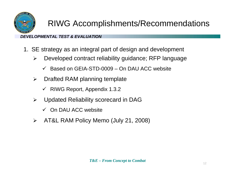

# RIWG Accomplishments/Recommendations

- 1. SE strategy as an integral part of design and development
	- ¾ Developed contract reliability guidance; RFP language
		- $\checkmark$  Based on GEIA-STD-0009 On DAU ACC website
	- $\blacktriangleright$  Drafted RAM planning template
		- $\checkmark$  RIWG Report, Appendix 1.3.2
	- $\blacktriangleright$  Updated Reliability scorecard in DAG
		- $\checkmark$  On DAU ACC website
	- $\blacktriangleright$ AT&L RAM Policy Memo (July 21, 2008)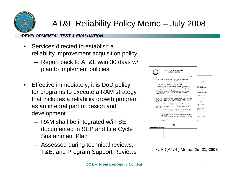

# AT&L Reliability Policy Memo – July 2008

- • Services directed to establish a reliability improvement acquisition policy
	- Report back to AT&L w/in 30 days w/ plan to implement policies
- $\bullet$  Effective immediately, it is DoD policy for programs to execute a RAM strategy that includes a reliability growth program as an integral part of design and development
	- RAM shall be integrated w/in SE, documented in SEP and Life Cycle Sustainment Plan
	- Assessed during technical reviews, T&E, and Program Support Reviews



| •USD(AT&L) Memo, Jul 21, 2008 |  |  |
|-------------------------------|--|--|
|-------------------------------|--|--|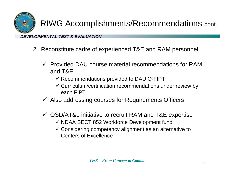

# RIWG Accomplishments/Recommendations cont.

- 2. Reconstitute cadre of experienced T&E and RAM personnel
	- $\checkmark$  Provided DAU course material recommendations for RAM and T&E
		- $\checkmark$  Recommendations provided to DAU O-FIPT
		- $\checkmark$  Curriculum/certification recommendations under review by each FIPT
	- $\checkmark$  Also addressing courses for Requirements Officers
	- $\checkmark$  OSD/AT&L initiative to recruit RAM and T&E expertise
		- $\checkmark$  NDAA SECT 852 Workforce Development fund
		- $\checkmark$  Considering competency alignment as an alternative to Centers of Excellence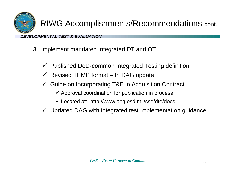

# RIWG Accomplishments/Recommendations cont.

- 3. Implement mandated Integrated DT and OT
	- $\checkmark$  Published DoD-common Integrated Testing definition
	- $\checkmark$  Revised TEMP format In DAG update
	- $\checkmark$  Guide on Incorporating T&E in Acquisition Contract
		- $\checkmark$  Approval coordination for publication in process
		- $\checkmark$  Located at: http://www.acq.osd.mil/sse/dte/docs
	- $\checkmark$  Updated DAG with integrated test implementation guidance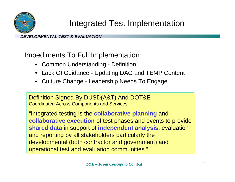

# Integrated Test Implementation

*DEVELOPMENTAL TEST & EVALUATION*

Impediments To Full Implementation:

- Common Understanding Definition
- Lack Of Guidance Updating DAG and TEMP Content
- Culture Change Leadership Needs To Engage

Definition Signed By DUSD(A&T) And DOT&E Coordinated Across Components and Services

"Integrated testing is the **collaborative planning** and **collaborative execution** of test phases and events to provide **shared data** in support of **independent analysis**, evaluation and reporting by all stakeholders particularly the developmental (both contractor and government) and operational test and evaluation communities."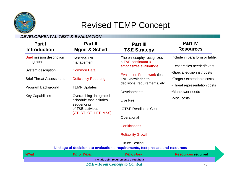

### Revised TEMP Concept

#### *DEVELOPMENTAL TEST & EVALUATION*

| Part I<br><b>Introduction</b>                 | Part II<br><b>Mgmt &amp; Sched</b>                             | <b>Part III</b><br><b>T&amp;E Strategy</b>                                                             | <b>Part IV</b><br><b>Resources</b>                         |
|-----------------------------------------------|----------------------------------------------------------------|--------------------------------------------------------------------------------------------------------|------------------------------------------------------------|
| <b>Brief mission description</b><br>paragraph | Describe T&E<br>management                                     | The philosophy recognizes<br>a T&E continuum &                                                         | Include in para form or table:                             |
| System description                            | <b>Common Data</b>                                             | emphasizes evaluations<br><b>Evaluation Framework ties</b>                                             | •Test articles needed/event<br>•Special equip/ instr costs |
| <b>Brief Threat Assessment</b>                | <b>Deficiency Reporting</b>                                    | T&E knowledge to<br>decisions, requirements, etc.                                                      | •Target / expendable costs                                 |
| Program Background                            | <b>TEMP Updates</b>                                            | Developmental                                                                                          | •Threat representation costs<br>•Manpower needs            |
| <b>Key Capabilities</b>                       | Overarching integrated<br>schedule that includes<br>sequencing | Live Fire                                                                                              | •M&S costs                                                 |
|                                               | of T&E activities<br>(CT, DT, OT, LFT, M&S)                    | <b>IOT&amp;E Readiness Cert</b>                                                                        |                                                            |
|                                               |                                                                | Operational                                                                                            |                                                            |
|                                               |                                                                | <b>Certifications</b>                                                                                  |                                                            |
|                                               |                                                                | <b>Reliability Growth</b>                                                                              |                                                            |
|                                               |                                                                | <b>Future Testing</b><br>Linkage of decisions to evaluations, requirements, test phases, and resources |                                                            |
| <b>What</b>                                   | <b>Who, When</b>                                               | <b>Why, How</b>                                                                                        | <b>Resources required</b>                                  |
|                                               |                                                                | Include Joint requirements throughout                                                                  |                                                            |

*T&E – From Concept to Combat*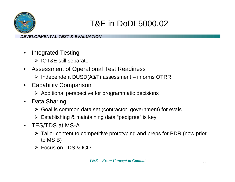

# T&E in DoDI 5000.02

- $\bullet$  Integrated Testing
	- ¾ IOT&E still separate
- • Assessment of Operational Test Readiness
	- ¾ Independent DUSD(A&T) assessment informs OTRR
- • Capability Comparison
	- $\triangleright$  Additional perspective for programmatic decisions
- $\bullet$  Data Sharing
	- ¾ Goal is common data set (contractor, government) for evals
	- ¾ Establishing & maintaining data "pedigree" is key
- TES/TDS at MS-A
	- ¾ Tailor content to competitive prototyping and preps for PDR (now prior to MS B)
	- ¾ Focus on TDS & ICD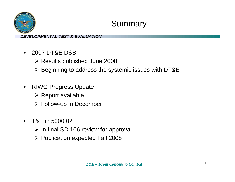

# Summary

- $\bullet$  2007 DT&E DSB
	- ¾ Results published June 2008
	- ¾ Beginning to address the systemic issues with DT&E
- $\bullet$  RIWG Progress Update
	- $\triangleright$  Report available
	- $\triangleright$  Follow-up in December
- $\bullet$  T&E in 5000.02
	- $\triangleright$  In final SD 106 review for approval
	- ¾ Publication expected Fall 2008